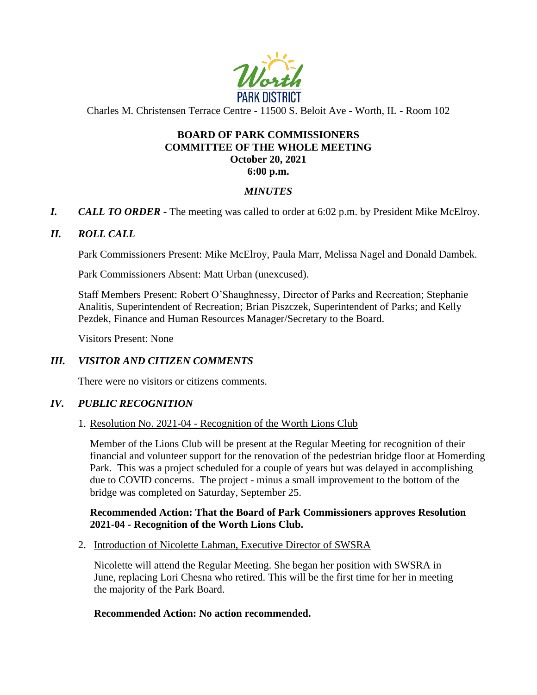

Charles M. Christensen Terrace Centre - 11500 S. Beloit Ave - Worth, IL - Room 102

# **BOARD OF PARK COMMISSIONERS COMMITTEE OF THE WHOLE MEETING October 20, 2021**

**6:00 p.m.**

### *MINUTES*

*I. CALL TO ORDER* - The meeting was called to order at 6:02 p.m. by President Mike McElroy.

### *II. ROLL CALL*

Park Commissioners Present: Mike McElroy, Paula Marr, Melissa Nagel and Donald Dambek.

Park Commissioners Absent: Matt Urban (unexcused).

Staff Members Present: Robert O'Shaughnessy, Director of Parks and Recreation; Stephanie Analitis, Superintendent of Recreation; Brian Piszczek, Superintendent of Parks; and Kelly Pezdek, Finance and Human Resources Manager/Secretary to the Board.

Visitors Present: None

### *III. VISITOR AND CITIZEN COMMENTS*

There were no visitors or citizens comments.

### *IV. PUBLIC RECOGNITION*

### 1. Resolution No. 2021-04 - Recognition of the Worth Lions Club

Member of the Lions Club will be present at the Regular Meeting for recognition of their financial and volunteer support for the renovation of the pedestrian bridge floor at Homerding Park. This was a project scheduled for a couple of years but was delayed in accomplishing due to COVID concerns. The project - minus a small improvement to the bottom of the bridge was completed on Saturday, September 25.

### **Recommended Action: That the Board of Park Commissioners approves Resolution 2021-04 - Recognition of the Worth Lions Club.**

2. Introduction of Nicolette Lahman, Executive Director of SWSRA

Nicolette will attend the Regular Meeting. She began her position with SWSRA in June, replacing Lori Chesna who retired. This will be the first time for her in meeting the majority of the Park Board.

### **Recommended Action: No action recommended.**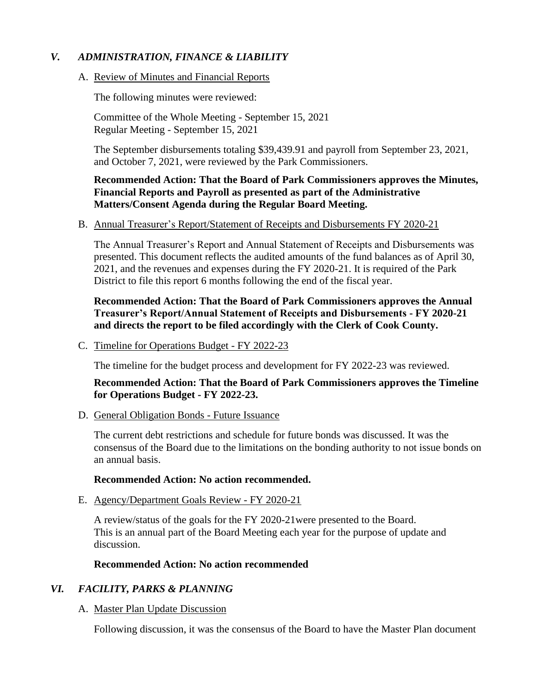## *V. ADMINISTRATION, FINANCE & LIABILITY*

### A. Review of Minutes and Financial Reports

The following minutes were reviewed:

Committee of the Whole Meeting - September 15, 2021 Regular Meeting - September 15, 2021

The September disbursements totaling \$39,439.91 and payroll from September 23, 2021, and October 7, 2021, were reviewed by the Park Commissioners.

### **Recommended Action: That the Board of Park Commissioners approves the Minutes, Financial Reports and Payroll as presented as part of the Administrative Matters/Consent Agenda during the Regular Board Meeting.**

### B. Annual Treasurer's Report/Statement of Receipts and Disbursements FY 2020-21

The Annual Treasurer's Report and Annual Statement of Receipts and Disbursements was presented. This document reflects the audited amounts of the fund balances as of April 30, 2021, and the revenues and expenses during the FY 2020-21. It is required of the Park District to file this report 6 months following the end of the fiscal year.

**Recommended Action: That the Board of Park Commissioners approves the Annual Treasurer's Report/Annual Statement of Receipts and Disbursements - FY 2020-21 and directs the report to be filed accordingly with the Clerk of Cook County.**

C. Timeline for Operations Budget - FY 2022-23

The timeline for the budget process and development for FY 2022-23 was reviewed.

**Recommended Action: That the Board of Park Commissioners approves the Timeline for Operations Budget - FY 2022-23.**

D. General Obligation Bonds - Future Issuance

The current debt restrictions and schedule for future bonds was discussed. It was the consensus of the Board due to the limitations on the bonding authority to not issue bonds on an annual basis.

### **Recommended Action: No action recommended.**

E. Agency/Department Goals Review - FY 2020-21

A review/status of the goals for the FY 2020-21were presented to the Board. This is an annual part of the Board Meeting each year for the purpose of update and discussion.

### **Recommended Action: No action recommended**

## *VI. FACILITY, PARKS & PLANNING*

### A. Master Plan Update Discussion

Following discussion, it was the consensus of the Board to have the Master Plan document